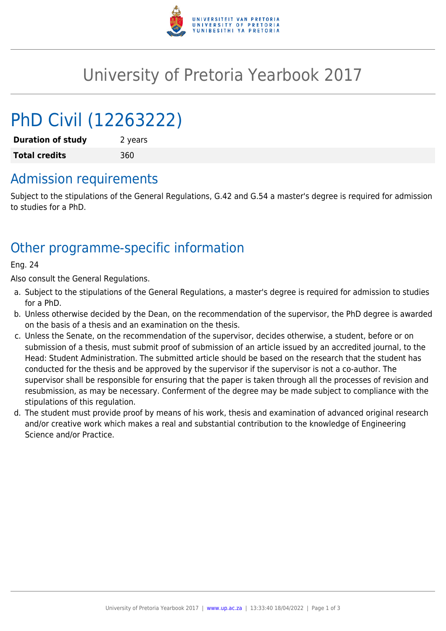

## University of Pretoria Yearbook 2017

# PhD Civil (12263222)

**Duration of study** 2 years **Total credits** 360

#### Admission requirements

Subject to the stipulations of the General Regulations, G.42 and G.54 a master's degree is required for admission to studies for a PhD.

### Other programme-specific information

Eng. 24

Also consult the General Regulations.

- a. Subject to the stipulations of the General Regulations, a master's degree is required for admission to studies for a PhD.
- b. Unless otherwise decided by the Dean, on the recommendation of the supervisor, the PhD degree is awarded on the basis of a thesis and an examination on the thesis.
- c. Unless the Senate, on the recommendation of the supervisor, decides otherwise, a student, before or on submission of a thesis, must submit proof of submission of an article issued by an accredited journal, to the Head: Student Administration. The submitted article should be based on the research that the student has conducted for the thesis and be approved by the supervisor if the supervisor is not a co-author. The supervisor shall be responsible for ensuring that the paper is taken through all the processes of revision and resubmission, as may be necessary. Conferment of the degree may be made subject to compliance with the stipulations of this regulation.
- d. The student must provide proof by means of his work, thesis and examination of advanced original research and/or creative work which makes a real and substantial contribution to the knowledge of Engineering Science and/or Practice.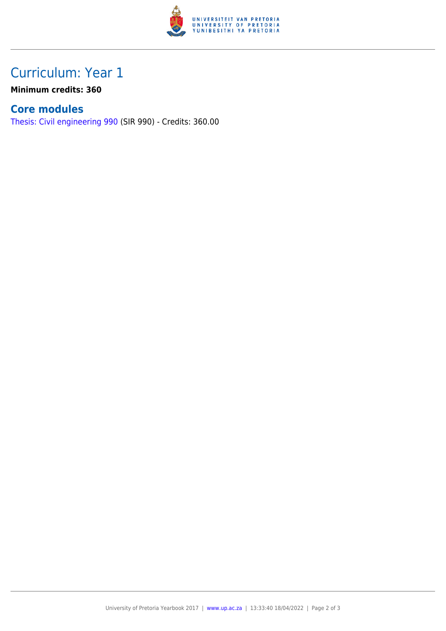

## Curriculum: Year 1

**Minimum credits: 360**

#### **Core modules**

[Thesis: Civil engineering 990](https://www.up.ac.za/mechanical-and-aeronautical-engineering/yearbooks/2017/modules/view/SIR 990) (SIR 990) - Credits: 360.00